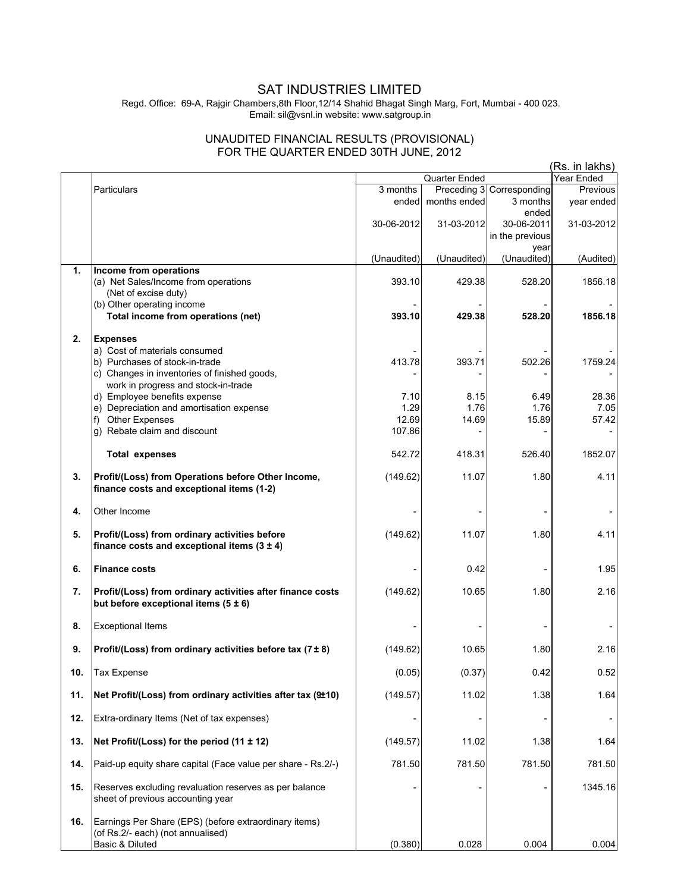## SAT INDUSTRIES LIMITED

Regd. Office: 69-A, Rajgir Chambers,8th Floor,12/14 Shahid Bhagat Singh Marg, Fort, Mumbai - 400 023. Email: sil@vsnl.in website: www.satgroup.in

|     | <u>UTE GOATLER LITED</u><br>(Rs. in lakhs)                                                                    |                      |              |                           |            |  |
|-----|---------------------------------------------------------------------------------------------------------------|----------------------|--------------|---------------------------|------------|--|
|     |                                                                                                               | <b>Quarter Ended</b> |              |                           | Year Ended |  |
|     | Particulars                                                                                                   | 3 months             |              | Preceding 3 Corresponding | Previous   |  |
|     |                                                                                                               | ended                | months ended | 3 months                  | year ended |  |
|     |                                                                                                               |                      |              | ended                     |            |  |
|     |                                                                                                               | 30-06-2012           | 31-03-2012   | 30-06-2011                | 31-03-2012 |  |
|     |                                                                                                               |                      |              | in the previous           |            |  |
|     |                                                                                                               |                      |              |                           |            |  |
|     |                                                                                                               |                      |              | year                      |            |  |
|     |                                                                                                               | (Unaudited)          | (Unaudited)  | (Unaudited)               | (Audited)  |  |
| 1.  | Income from operations                                                                                        |                      |              |                           |            |  |
|     | (a) Net Sales/Income from operations                                                                          | 393.10               | 429.38       | 528.20                    | 1856.18    |  |
|     | (Net of excise duty)                                                                                          |                      |              |                           |            |  |
|     | (b) Other operating income                                                                                    |                      |              |                           |            |  |
|     | Total income from operations (net)                                                                            | 393.10               | 429.38       | 528.20                    | 1856.18    |  |
|     |                                                                                                               |                      |              |                           |            |  |
|     |                                                                                                               |                      |              |                           |            |  |
| 2.  | <b>Expenses</b>                                                                                               |                      |              |                           |            |  |
|     | a) Cost of materials consumed                                                                                 |                      |              |                           |            |  |
|     | b) Purchases of stock-in-trade                                                                                | 413.78               | 393.71       | 502.26                    | 1759.24    |  |
|     | c) Changes in inventories of finished goods,                                                                  |                      |              |                           |            |  |
|     | work in progress and stock-in-trade                                                                           |                      |              |                           |            |  |
|     |                                                                                                               |                      |              |                           |            |  |
|     | d) Employee benefits expense                                                                                  | 7.10                 | 8.15         | 6.49                      | 28.36      |  |
|     | e) Depreciation and amortisation expense                                                                      | 1.29                 | 1.76         | 1.76                      | 7.05       |  |
|     | <b>Other Expenses</b><br>f)                                                                                   | 12.69                | 14.69        | 15.89                     | 57.42      |  |
|     | g) Rebate claim and discount                                                                                  | 107.86               |              |                           |            |  |
|     |                                                                                                               |                      |              |                           |            |  |
|     | <b>Total expenses</b>                                                                                         | 542.72               | 418.31       | 526.40                    | 1852.07    |  |
| 3.  | Profit/(Loss) from Operations before Other Income,<br>finance costs and exceptional items (1-2)               | (149.62)             | 11.07        | 1.80                      | 4.11       |  |
| 4.  | Other Income                                                                                                  |                      |              |                           |            |  |
| 5.  | Profit/(Loss) from ordinary activities before<br>finance costs and exceptional items $(3 \pm 4)$              | (149.62)             | 11.07        | 1.80                      | 4.11       |  |
| 6.  | <b>Finance costs</b>                                                                                          |                      | 0.42         |                           | 1.95       |  |
| 7.  | Profit/(Loss) from ordinary activities after finance costs<br>but before exceptional items $(5 \pm 6)$        | (149.62)             | 10.65        | 1.80                      | 2.16       |  |
| 8.  | <b>Exceptional Items</b>                                                                                      |                      |              |                           |            |  |
| 9.  | Profit/(Loss) from ordinary activities before tax $(7 \pm 8)$                                                 | (149.62)             | 10.65        | 1.80                      | 2.16       |  |
| 10. | <b>Tax Expense</b>                                                                                            | (0.05)               | (0.37)       | 0.42                      | 0.52       |  |
| 11. | Net Profit/(Loss) from ordinary activities after tax (9±10)                                                   | (149.57)             | 11.02        | 1.38                      | 1.64       |  |
| 12. | Extra-ordinary Items (Net of tax expenses)                                                                    |                      |              |                           |            |  |
|     |                                                                                                               |                      |              |                           |            |  |
| 13. | Net Profit/(Loss) for the period (11 ± 12)                                                                    | (149.57)             | 11.02        | 1.38                      | 1.64       |  |
| 14. | Paid-up equity share capital (Face value per share - Rs.2/-)                                                  | 781.50               | 781.50       | 781.50                    | 781.50     |  |
| 15. | Reserves excluding revaluation reserves as per balance<br>sheet of previous accounting year                   |                      |              |                           | 1345.16    |  |
| 16. | Earnings Per Share (EPS) (before extraordinary items)<br>(of Rs.2/- each) (not annualised)<br>Basic & Diluted | (0.380)              | 0.028        | 0.004                     | 0.004      |  |

## UNAUDITED FINANCIAL RESULTS (PROVISIONAL) FOR THE QUARTER ENDED 30TH JUNE, 2012